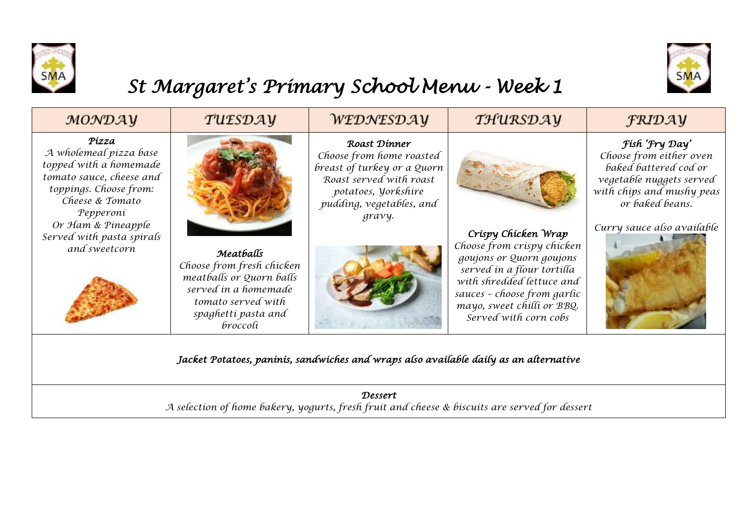



## *St Margaret's Primary School Menu - Week 1*

| MONDAY                                                                                                                                          | TUESDAY                                                                                                                                             | WEDNESDAY                                                                                                                                                              | THURSDAY                                                                                                                                                                                                                       | <b>FRIDAY</b>                                                                                                                                  |  |  |  |  |
|-------------------------------------------------------------------------------------------------------------------------------------------------|-----------------------------------------------------------------------------------------------------------------------------------------------------|------------------------------------------------------------------------------------------------------------------------------------------------------------------------|--------------------------------------------------------------------------------------------------------------------------------------------------------------------------------------------------------------------------------|------------------------------------------------------------------------------------------------------------------------------------------------|--|--|--|--|
| Pízza<br>A wholemeal pizza base<br>topped with a homemade<br>tomato sauce, cheese and<br>toppings. Choose from:<br>Cheese & Tomato<br>Pepperoni |                                                                                                                                                     | Roast Dinner<br>Choose from home roasted<br>breast of turkey or a Quorn<br>Roast served with roast<br>potatoes, <i>yorkshire</i><br>pudding, vegetables, and<br>gravy. |                                                                                                                                                                                                                                | Fish 'Fry Day'<br>Choose from either oven<br>baked battered cod or<br>vegetable nuggets served<br>with chips and mushy peas<br>or baked beans. |  |  |  |  |
| Or Ham & Pineapple<br>Served with pasta spirals<br>and sweetcorn                                                                                | Meatballs<br>Choose from fresh chicken<br>meatballs or Quorn balls<br>served in a homemade<br>tomato served with<br>spaghetti pasta and<br>broccoli |                                                                                                                                                                        | Crispy Chicken Wrap<br>Choose from crispy chicken<br>goujons or Quorn goujons<br>served in a flour tortilla<br>with shredded lettuce and<br>sauces - choose from garlic<br>mayo, sweet chilli or BBQ.<br>Served with corn cobs | Curry sauce also available                                                                                                                     |  |  |  |  |
| Jacket Potatoes, paninis, sandwiches and wraps also available daily as an alternative                                                           |                                                                                                                                                     |                                                                                                                                                                        |                                                                                                                                                                                                                                |                                                                                                                                                |  |  |  |  |
| Dessert<br>A selection of home bakery, yogurts, fresh fruit and cheese & biscuits are served for dessert                                        |                                                                                                                                                     |                                                                                                                                                                        |                                                                                                                                                                                                                                |                                                                                                                                                |  |  |  |  |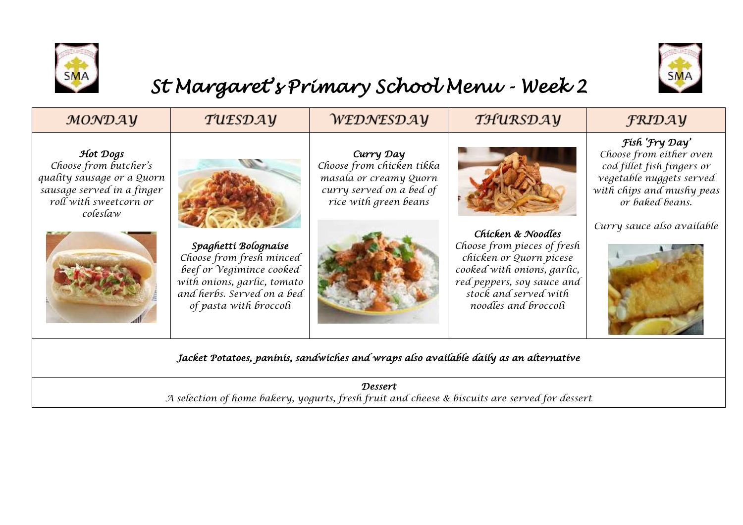



## *St Margaret's Primary School Menu - Week 2*

| MONDAY                                                                                                                              | TUESDAY                                                                                                                                                             | WEDNESDAY                                                                                                             | THURSDAY                                                                                                                                                                                  | <b>FRIDAY</b>                                                                                                                                                                     |  |  |  |  |
|-------------------------------------------------------------------------------------------------------------------------------------|---------------------------------------------------------------------------------------------------------------------------------------------------------------------|-----------------------------------------------------------------------------------------------------------------------|-------------------------------------------------------------------------------------------------------------------------------------------------------------------------------------------|-----------------------------------------------------------------------------------------------------------------------------------------------------------------------------------|--|--|--|--|
| Hot Dogs<br>Choose from butcher's<br>quality sausage or a Quorn<br>sausage served in a finger<br>roll with sweetcorn or<br>coleslaw | Spaghettí Bolognaise<br>Choose from fresh minced<br>beef or Vegimince cooked<br>with onions, garlic, tomato<br>and herbs. Served on a bed<br>of pasta with broccoli | Curry Day<br>Choose from chicken tikka<br>masala or creamy Quorn<br>curry served on a bed of<br>rice with green beans | Chicken & Noodles<br>Choose from pieces of fresh<br>chicken or Quorn picese<br>cooked with onions, garlic,<br>red peppers, soy sauce and<br>stock and served with<br>noodles and broccoli | Fish 'Fry Day'<br>Choose from either oven<br>cod fillet fish fingers or<br>vegetable nuggets served<br>with chips and mushy peas<br>or baked beans.<br>Curry sauce also available |  |  |  |  |
| Jacket Potatoes, paninis, sandwiches and wraps also available daily as an alternative                                               |                                                                                                                                                                     |                                                                                                                       |                                                                                                                                                                                           |                                                                                                                                                                                   |  |  |  |  |
| <b>Dessert</b><br>A selection of home bakery, yogurts, fresh fruit and cheese & biscuits are served for dessert                     |                                                                                                                                                                     |                                                                                                                       |                                                                                                                                                                                           |                                                                                                                                                                                   |  |  |  |  |